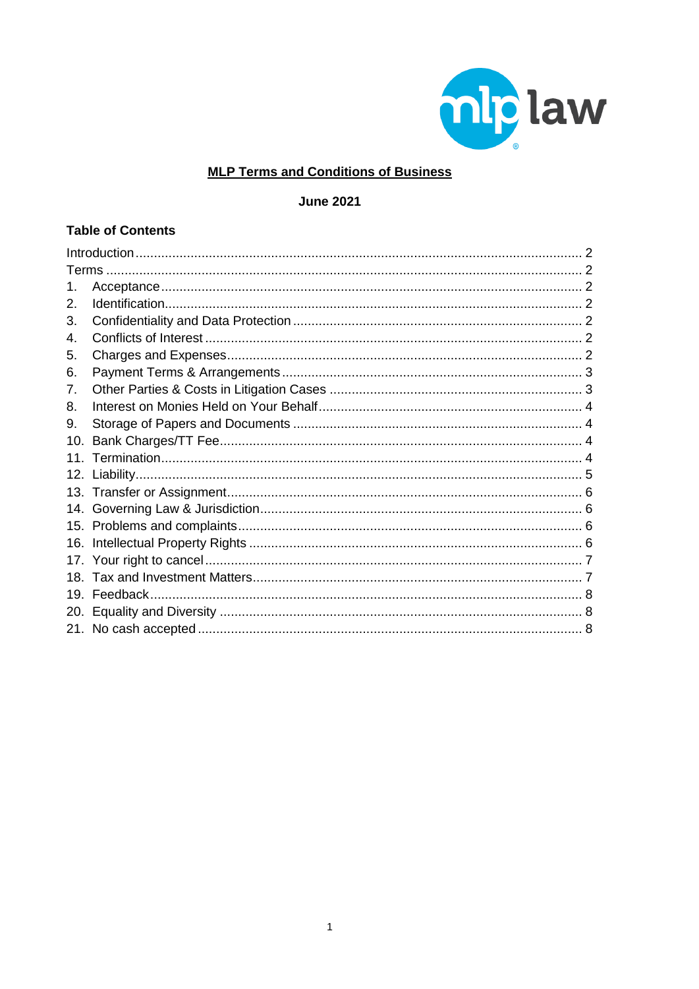

# **MLP Terms and Conditions of Business**

**June 2021** 

## **Table of Contents**

| 2.  |  |  |
|-----|--|--|
| 3.  |  |  |
| 4.  |  |  |
| 5.  |  |  |
| 6.  |  |  |
| 7.  |  |  |
| 8.  |  |  |
| 9.  |  |  |
| 10. |  |  |
|     |  |  |
| 12. |  |  |
|     |  |  |
|     |  |  |
| 15. |  |  |
| 16. |  |  |
|     |  |  |
| 18. |  |  |
| 19. |  |  |
|     |  |  |
|     |  |  |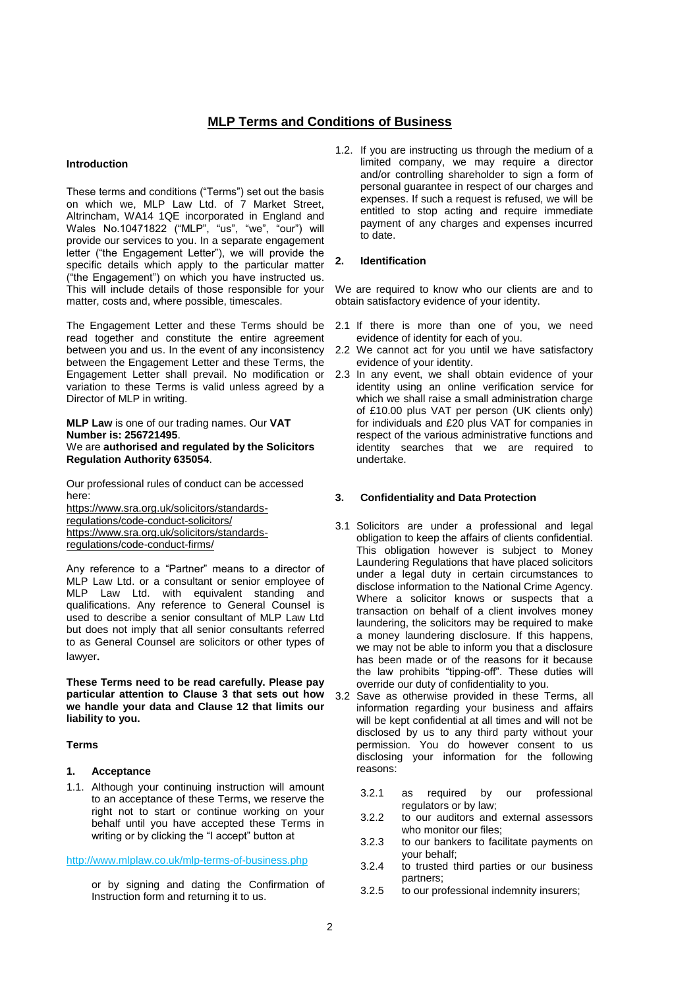## **MLP Terms and Conditions of Business**

## <span id="page-1-0"></span>**Introduction**

These terms and conditions ("Terms") set out the basis on which we, MLP Law Ltd. of 7 Market Street, Altrincham, WA14 1QE incorporated in England and Wales No.10471822 ("MLP", "us", "we", "our") will provide our services to you. In a separate engagement letter ("the Engagement Letter"), we will provide the specific details which apply to the particular matter ("the Engagement") on which you have instructed us. This will include details of those responsible for your matter, costs and, where possible, timescales.

The Engagement Letter and these Terms should be read together and constitute the entire agreement between you and us. In the event of any inconsistency between the Engagement Letter and these Terms, the Engagement Letter shall prevail. No modification or variation to these Terms is valid unless agreed by a Director of MLP in writing.

#### **MLP Law** is one of our trading names. Our **VAT Number is: 256721495**. We are **authorised and regulated by the Solicitors Regulation Authority 635054**.

Our professional rules of conduct can be accessed here:

[https://www.sra.org.uk/solicitors/standards](https://www.sra.org.uk/solicitors/standards-regulations/code-conduct-solicitors/)[regulations/code-conduct-solicitors/](https://www.sra.org.uk/solicitors/standards-regulations/code-conduct-solicitors/) [https://www.sra.org.uk/solicitors/standards](https://www.sra.org.uk/solicitors/standards-regulations/code-conduct-firms/)[regulations/code-conduct-firms/](https://www.sra.org.uk/solicitors/standards-regulations/code-conduct-firms/)

Any reference to a "Partner" means to a director of MLP Law Ltd. or a consultant or senior employee of MLP Law Ltd. with equivalent standing and qualifications. Any reference to General Counsel is used to describe a senior consultant of MLP Law Ltd but does not imply that all senior consultants referred to as General Counsel are solicitors or other types of lawyer*.*

**These Terms need to be read carefully. Please pay particular attention to Clause 3 that sets out how we handle your data and Clause 12 that limits our liability to you.**

#### <span id="page-1-1"></span>**Terms**

#### <span id="page-1-2"></span>**1. Acceptance**

1.1. Although your continuing instruction will amount to an acceptance of these Terms, we reserve the right not to start or continue working on your behalf until you have accepted these Terms in writing or by clicking the "I accept" button at

## <http://www.mlplaw.co.uk/mlp-terms-of-business.php>

or by signing and dating the Confirmation of Instruction form and returning it to us.

1.2. If you are instructing us through the medium of a limited company, we may require a director and/or controlling shareholder to sign a form of personal guarantee in respect of our charges and expenses. If such a request is refused, we will be entitled to stop acting and require immediate payment of any charges and expenses incurred to date.

#### <span id="page-1-3"></span>**2. Identification**

We are required to know who our clients are and to obtain satisfactory evidence of your identity.

- 2.1 If there is more than one of you, we need evidence of identity for each of you.
- 2.2 We cannot act for you until we have satisfactory evidence of your identity.
- 2.3 In any event, we shall obtain evidence of your identity using an online verification service for which we shall raise a small administration charge of £10.00 plus VAT per person (UK clients only) for individuals and £20 plus VAT for companies in respect of the various administrative functions and identity searches that we are required to undertake.

#### <span id="page-1-4"></span>**3. Confidentiality and Data Protection**

- 3.1 Solicitors are under a professional and legal obligation to keep the affairs of clients confidential. This obligation however is subject to Money Laundering Regulations that have placed solicitors under a legal duty in certain circumstances to disclose information to the National Crime Agency. Where a solicitor knows or suspects that a transaction on behalf of a client involves money laundering, the solicitors may be required to make a money laundering disclosure. If this happens, we may not be able to inform you that a disclosure has been made or of the reasons for it because the law prohibits "tipping-off". These duties will override our duty of confidentiality to you.
- 3.2 Save as otherwise provided in these Terms, all information regarding your business and affairs will be kept confidential at all times and will not be disclosed by us to any third party without your permission. You do however consent to us disclosing your information for the following reasons:
	- 3.2.1 as required by our professional regulators or by law;
	- 3.2.2 to our auditors and external assessors who monitor our files;
	- 3.2.3 to our bankers to facilitate payments on your behalf;
	- 3.2.4 to trusted third parties or our business partners;
	- 3.2.5 to our professional indemnity insurers;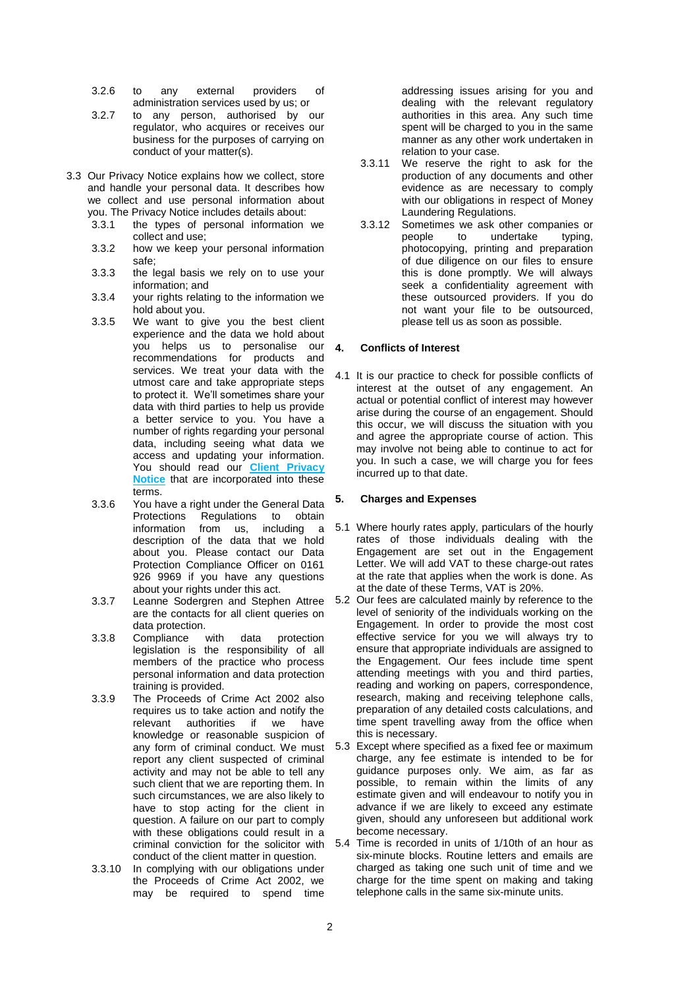- 3.2.6 to any external providers of administration services used by us; or
- 3.2.7 to any person, authorised by our regulator, who acquires or receives our business for the purposes of carrying on conduct of your matter(s).
- 3.3 Our Privacy Notice explains how we collect, store and handle your personal data. It describes how we collect and use personal information about you. The Privacy Notice includes details about:
	- 3.3.1 the types of personal information we collect and use;
	- 3.3.2 how we keep your personal information safe;
	- 3.3.3 the legal basis we rely on to use your information; and
	- 3.3.4 your rights relating to the information we hold about you.
	- 3.3.5 We want to give you the best client experience and the data we hold about you helps us to personalise our recommendations for products and services. We treat your data with the utmost care and take appropriate steps to protect it. We'll sometimes share your data with third parties to help us provide a better service to you. You have a number of rights regarding your personal data, including seeing what data we access and updating your information. You should read our **[Client Privacy](https://www.mlplaw.co.uk/wp-content/uploads/MLP-Privacy-Notice-Client-June.pdf)  [Notice](https://www.mlplaw.co.uk/wp-content/uploads/MLP-Privacy-Notice-Client-June.pdf)** that are incorporated into these terms.
	- 3.3.6 You have a right under the General Data Protections Regulations to obtain information from us, including a description of the data that we hold about you. Please contact our Data Protection Compliance Officer on 0161 926 9969 if you have any questions about your rights under this act.
	- 3.3.7 Leanne Sodergren and Stephen Attree are the contacts for all client queries on data protection.
	- 3.3.8 Compliance with data protection legislation is the responsibility of all members of the practice who process personal information and data protection training is provided.
	- 3.3.9 The Proceeds of Crime Act 2002 also requires us to take action and notify the relevant authorities if we have knowledge or reasonable suspicion of any form of criminal conduct. We must report any client suspected of criminal activity and may not be able to tell any such client that we are reporting them. In such circumstances, we are also likely to have to stop acting for the client in question. A failure on our part to comply with these obligations could result in a criminal conviction for the solicitor with conduct of the client matter in question.
	- 3.3.10 In complying with our obligations under the Proceeds of Crime Act 2002, we may be required to spend time

addressing issues arising for you and dealing with the relevant regulatory authorities in this area. Any such time spent will be charged to you in the same manner as any other work undertaken in relation to your case.

- 3.3.11 We reserve the right to ask for the production of any documents and other evidence as are necessary to comply with our obligations in respect of Money Laundering Regulations.
- 3.3.12 Sometimes we ask other companies or people to undertake typing, photocopying, printing and preparation of due diligence on our files to ensure this is done promptly. We will always seek a confidentiality agreement with these outsourced providers. If you do not want your file to be outsourced, please tell us as soon as possible.

## <span id="page-2-0"></span>**4. Conflicts of Interest**

4.1 It is our practice to check for possible conflicts of interest at the outset of any engagement. An actual or potential conflict of interest may however arise during the course of an engagement. Should this occur, we will discuss the situation with you and agree the appropriate course of action. This may involve not being able to continue to act for you. In such a case, we will charge you for fees incurred up to that date.

## <span id="page-2-1"></span>**5. Charges and Expenses**

- 5.1 Where hourly rates apply, particulars of the hourly rates of those individuals dealing with the Engagement are set out in the Engagement Letter. We will add VAT to these charge-out rates at the rate that applies when the work is done. As at the date of these Terms, VAT is 20%.
- 5.2 Our fees are calculated mainly by reference to the level of seniority of the individuals working on the Engagement. In order to provide the most cost effective service for you we will always try to ensure that appropriate individuals are assigned to the Engagement. Our fees include time spent attending meetings with you and third parties, reading and working on papers, correspondence, research, making and receiving telephone calls, preparation of any detailed costs calculations, and time spent travelling away from the office when this is necessary.
- 5.3 Except where specified as a fixed fee or maximum charge, any fee estimate is intended to be for guidance purposes only. We aim, as far as possible, to remain within the limits of any estimate given and will endeavour to notify you in advance if we are likely to exceed any estimate given, should any unforeseen but additional work become necessary.
- 5.4 Time is recorded in units of 1/10th of an hour as six-minute blocks. Routine letters and emails are charged as taking one such unit of time and we charge for the time spent on making and taking telephone calls in the same six-minute units.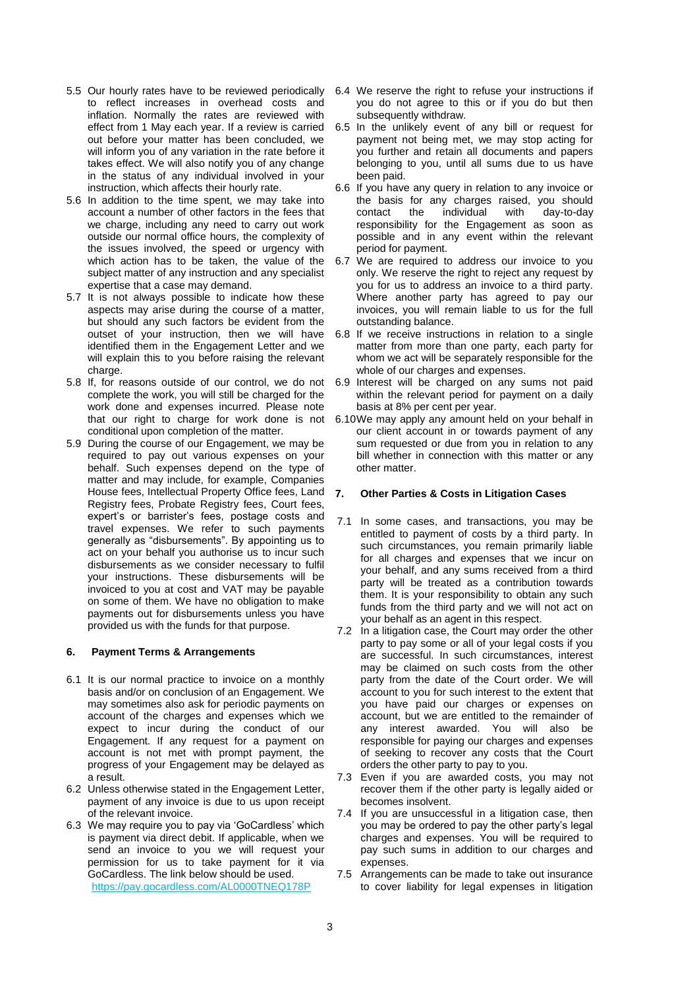- 5.5 Our hourly rates have to be reviewed periodically to reflect increases in overhead costs and inflation. Normally the rates are reviewed with effect from 1 May each year. If a review is carried out before your matter has been concluded, we will inform you of any variation in the rate before it takes effect. We will also notify you of any change in the status of any individual involved in your instruction, which affects their hourly rate.
- 5.6 In addition to the time spent, we may take into account a number of other factors in the fees that we charge, including any need to carry out work outside our normal office hours, the complexity of the issues involved, the speed or urgency with which action has to be taken, the value of the subject matter of any instruction and any specialist expertise that a case may demand.
- 5.7 It is not always possible to indicate how these aspects may arise during the course of a matter, but should any such factors be evident from the outset of your instruction, then we will have identified them in the Engagement Letter and we will explain this to you before raising the relevant charge
- 5.8 If, for reasons outside of our control, we do not complete the work, you will still be charged for the work done and expenses incurred. Please note that our right to charge for work done is not conditional upon completion of the matter.
- 5.9 During the course of our Engagement, we may be required to pay out various expenses on your behalf. Such expenses depend on the type of matter and may include, for example, Companies House fees, Intellectual Property Office fees, Land Registry fees, Probate Registry fees, Court fees, expert's or barrister's fees, postage costs and travel expenses. We refer to such payments generally as "disbursements". By appointing us to act on your behalf you authorise us to incur such disbursements as we consider necessary to fulfil your instructions. These disbursements will be invoiced to you at cost and VAT may be payable on some of them. We have no obligation to make payments out for disbursements unless you have provided us with the funds for that purpose.

## <span id="page-3-0"></span>**6. Payment Terms & Arrangements**

- 6.1 It is our normal practice to invoice on a monthly basis and/or on conclusion of an Engagement. We may sometimes also ask for periodic payments on account of the charges and expenses which we expect to incur during the conduct of our Engagement. If any request for a payment on account is not met with prompt payment, the progress of your Engagement may be delayed as a result.
- 6.2 Unless otherwise stated in the Engagement Letter, payment of any invoice is due to us upon receipt of the relevant invoice.
- 6.3 We may require you to pay via 'GoCardless' which is payment via direct debit. If applicable, when we send an invoice to you we will request your permission for us to take payment for it via GoCardless. The link below should be used. <https://pay.gocardless.com/AL0000TNEQ178P>
- 6.4 We reserve the right to refuse your instructions if you do not agree to this or if you do but then subsequently withdraw.
- 6.5 In the unlikely event of any bill or request for payment not being met, we may stop acting for you further and retain all documents and papers belonging to you, until all sums due to us have been paid.
- 6.6 If you have any query in relation to any invoice or the basis for any charges raised, you should<br>contact the individual with day-to-day dav-to-day responsibility for the Engagement as soon as possible and in any event within the relevant period for payment.
- 6.7 We are required to address our invoice to you only. We reserve the right to reject any request by you for us to address an invoice to a third party. Where another party has agreed to pay our invoices, you will remain liable to us for the full outstanding balance.
- 6.8 If we receive instructions in relation to a single matter from more than one party, each party for whom we act will be separately responsible for the whole of our charges and expenses.
- 6.9 Interest will be charged on any sums not paid within the relevant period for payment on a daily basis at 8% per cent per year.
- 6.10We may apply any amount held on your behalf in our client account in or towards payment of any sum requested or due from you in relation to any bill whether in connection with this matter or any other matter.

#### <span id="page-3-1"></span>**7. Other Parties & Costs in Litigation Cases**

- 7.1 In some cases, and transactions, you may be entitled to payment of costs by a third party. In such circumstances, you remain primarily liable for all charges and expenses that we incur on your behalf, and any sums received from a third party will be treated as a contribution towards them. It is your responsibility to obtain any such funds from the third party and we will not act on your behalf as an agent in this respect.
- 7.2 In a litigation case, the Court may order the other party to pay some or all of your legal costs if you are successful. In such circumstances, interest may be claimed on such costs from the other party from the date of the Court order. We will account to you for such interest to the extent that you have paid our charges or expenses on account, but we are entitled to the remainder of any interest awarded. You will also be responsible for paying our charges and expenses of seeking to recover any costs that the Court orders the other party to pay to you.
- 7.3 Even if you are awarded costs, you may not recover them if the other party is legally aided or becomes insolvent.
- 7.4 If you are unsuccessful in a litigation case, then you may be ordered to pay the other party's legal charges and expenses. You will be required to pay such sums in addition to our charges and expenses.
- 7.5 Arrangements can be made to take out insurance to cover liability for legal expenses in litigation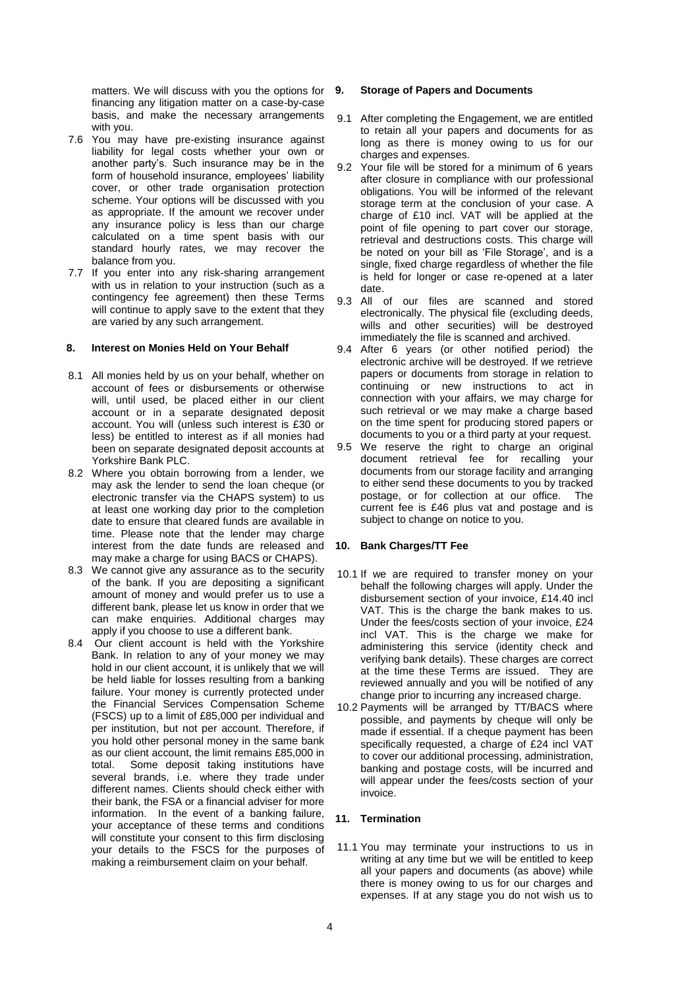matters. We will discuss with you the options for financing any litigation matter on a case-by-case basis, and make the necessary arrangements with you.

- 7.6 You may have pre-existing insurance against liability for legal costs whether your own or another party's. Such insurance may be in the form of household insurance, employees' liability cover, or other trade organisation protection scheme. Your options will be discussed with you as appropriate. If the amount we recover under any insurance policy is less than our charge calculated on a time spent basis with our standard hourly rates, we may recover the balance from you.
- 7.7 If you enter into any risk-sharing arrangement with us in relation to your instruction (such as a contingency fee agreement) then these Terms will continue to apply save to the extent that they are varied by any such arrangement.

## <span id="page-4-0"></span>**8. Interest on Monies Held on Your Behalf**

- 8.1 All monies held by us on your behalf, whether on account of fees or disbursements or otherwise will, until used, be placed either in our client account or in a separate designated deposit account. You will (unless such interest is £30 or less) be entitled to interest as if all monies had been on separate designated deposit accounts at Yorkshire Bank PLC.
- 8.2 Where you obtain borrowing from a lender, we may ask the lender to send the loan cheque (or electronic transfer via the CHAPS system) to us at least one working day prior to the completion date to ensure that cleared funds are available in time. Please note that the lender may charge interest from the date funds are released and may make a charge for using BACS or CHAPS).
- 8.3 We cannot give any assurance as to the security of the bank. If you are depositing a significant amount of money and would prefer us to use a different bank, please let us know in order that we can make enquiries. Additional charges may apply if you choose to use a different bank.
- 8.4 Our client account is held with the Yorkshire Bank. In relation to any of your money we may hold in our client account, it is unlikely that we will be held liable for losses resulting from a banking failure. Your money is currently protected under the Financial Services Compensation Scheme (FSCS) up to a limit of £85,000 per individual and per institution, but not per account. Therefore, if you hold other personal money in the same bank as our client account, the limit remains £85,000 in total. Some deposit taking institutions have several brands, i.e. where they trade under different names. Clients should check either with their bank, the FSA or a financial adviser for more information. In the event of a banking failure, your acceptance of these terms and conditions will constitute your consent to this firm disclosing your details to the FSCS for the purposes of making a reimbursement claim on your behalf.

#### <span id="page-4-1"></span>**9. Storage of Papers and Documents**

- 9.1 After completing the Engagement, we are entitled to retain all your papers and documents for as long as there is money owing to us for our charges and expenses.
- 9.2 Your file will be stored for a minimum of 6 years after closure in compliance with our professional obligations. You will be informed of the relevant storage term at the conclusion of your case. A charge of £10 incl. VAT will be applied at the point of file opening to part cover our storage, retrieval and destructions costs. This charge will be noted on your bill as 'File Storage', and is a single, fixed charge regardless of whether the file is held for longer or case re-opened at a later date.
- 9.3 All of our files are scanned and stored electronically. The physical file (excluding deeds, wills and other securities) will be destroyed immediately the file is scanned and archived.
- 9.4 After 6 years (or other notified period) the electronic archive will be destroyed. If we retrieve papers or documents from storage in relation to continuing or new instructions to act in connection with your affairs, we may charge for such retrieval or we may make a charge based on the time spent for producing stored papers or documents to you or a third party at your request. 9.5 We reserve the right to charge an original
	- document retrieval fee for recalling your documents from our storage facility and arranging to either send these documents to you by tracked postage, or for collection at our office. The current fee is £46 plus vat and postage and is subject to change on notice to you.

## <span id="page-4-2"></span>**10. Bank Charges/TT Fee**

- 10.1 If we are required to transfer money on your behalf the following charges will apply. Under the disbursement section of your invoice, £14.40 incl VAT. This is the charge the bank makes to us. Under the fees/costs section of your invoice, £24 incl VAT. This is the charge we make for administering this service (identity check and verifying bank details). These charges are correct at the time these Terms are issued. They are reviewed annually and you will be notified of any change prior to incurring any increased charge.
- 10.2 Payments will be arranged by TT/BACS where possible, and payments by cheque will only be made if essential. If a cheque payment has been specifically requested, a charge of £24 incl VAT to cover our additional processing, administration, banking and postage costs, will be incurred and will appear under the fees/costs section of your invoice.

## <span id="page-4-3"></span>**11. Termination**

11.1 You may terminate your instructions to us in writing at any time but we will be entitled to keep all your papers and documents (as above) while there is money owing to us for our charges and expenses. If at any stage you do not wish us to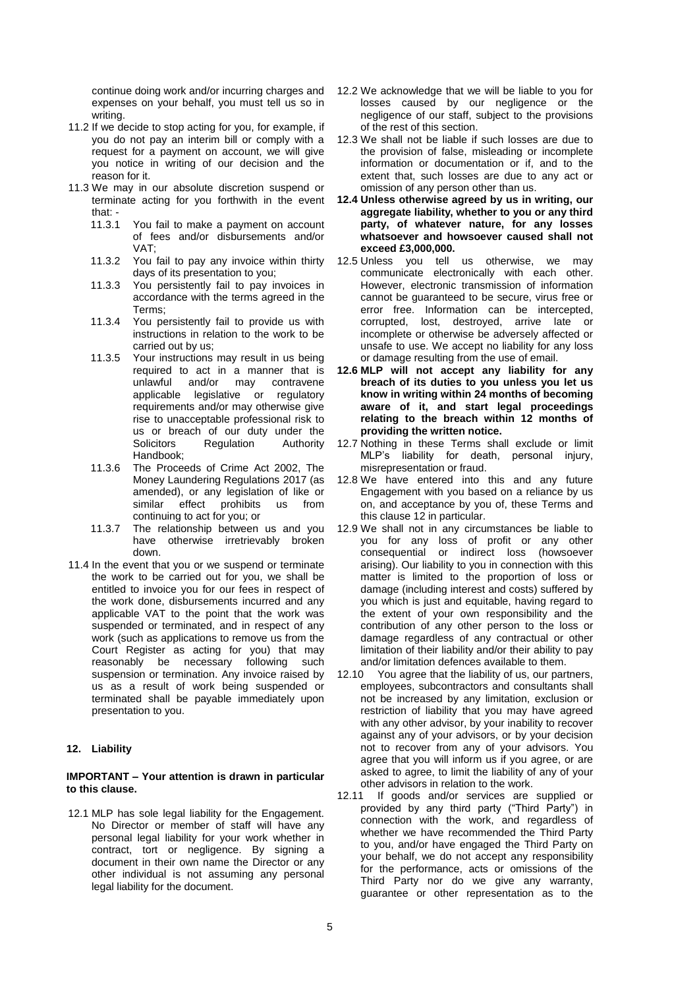continue doing work and/or incurring charges and expenses on your behalf, you must tell us so in writing.

- 11.2 If we decide to stop acting for you, for example, if you do not pay an interim bill or comply with a request for a payment on account, we will give you notice in writing of our decision and the reason for it.
- 11.3 We may in our absolute discretion suspend or terminate acting for you forthwith in the event that: -<br>11.3.1
	- You fail to make a payment on account of fees and/or disbursements and/or VAT;
	- 11.3.2 You fail to pay any invoice within thirty days of its presentation to you;
	- 11.3.3 You persistently fail to pay invoices in accordance with the terms agreed in the Terms;
	- 11.3.4 You persistently fail to provide us with instructions in relation to the work to be carried out by us;
	- 11.3.5 Your instructions may result in us being required to act in a manner that is unlawful and/or may contravene applicable legislative or regulatory requirements and/or may otherwise give rise to unacceptable professional risk to us or breach of our duty under the<br>Solicitors Regulation Authority Regulation Authority Handbook;
	- 11.3.6 The Proceeds of Crime Act 2002, The Money Laundering Regulations 2017 (as amended), or any legislation of like or similar effect prohibits us from continuing to act for you; or
	- 11.3.7 The relationship between us and you have otherwise irretrievably broken down.
- 11.4 In the event that you or we suspend or terminate the work to be carried out for you, we shall be entitled to invoice you for our fees in respect of the work done, disbursements incurred and any applicable VAT to the point that the work was suspended or terminated, and in respect of any work (such as applications to remove us from the Court Register as acting for you) that may reasonably be necessary following such suspension or termination. Any invoice raised by us as a result of work being suspended or terminated shall be payable immediately upon presentation to you.

## <span id="page-5-0"></span>**12. Liability**

#### **IMPORTANT – Your attention is drawn in particular to this clause.**

12.1 MLP has sole legal liability for the Engagement. No Director or member of staff will have any personal legal liability for your work whether in contract, tort or negligence. By signing a document in their own name the Director or any other individual is not assuming any personal legal liability for the document.

- 12.2 We acknowledge that we will be liable to you for losses caused by our negligence or the negligence of our staff, subject to the provisions of the rest of this section.
- 12.3 We shall not be liable if such losses are due to the provision of false, misleading or incomplete information or documentation or if, and to the extent that, such losses are due to any act or omission of any person other than us.
- **12.4 Unless otherwise agreed by us in writing, our aggregate liability, whether to you or any third party, of whatever nature, for any losses whatsoever and howsoever caused shall not exceed £3,000,000.**
- 12.5 Unless you tell us otherwise, we may communicate electronically with each other. However, electronic transmission of information cannot be guaranteed to be secure, virus free or error free. Information can be intercepted, corrupted, lost, destroyed, arrive late or incomplete or otherwise be adversely affected or unsafe to use. We accept no liability for any loss or damage resulting from the use of email.
- **12.6 MLP will not accept any liability for any breach of its duties to you unless you let us know in writing within 24 months of becoming aware of it, and start legal proceedings relating to the breach within 12 months of providing the written notice.**
- 12.7 Nothing in these Terms shall exclude or limit MLP's liability for death, personal injury, misrepresentation or fraud.
- 12.8 We have entered into this and any future Engagement with you based on a reliance by us on, and acceptance by you of, these Terms and this clause 12 in particular.
- 12.9 We shall not in any circumstances be liable to you for any loss of profit or any other consequential or indirect loss (howsoever arising). Our liability to you in connection with this matter is limited to the proportion of loss or damage (including interest and costs) suffered by you which is just and equitable, having regard to the extent of your own responsibility and the contribution of any other person to the loss or damage regardless of any contractual or other limitation of their liability and/or their ability to pay and/or limitation defences available to them.
- 12.10 You agree that the liability of us, our partners, employees, subcontractors and consultants shall not be increased by any limitation, exclusion or restriction of liability that you may have agreed with any other advisor, by your inability to recover against any of your advisors, or by your decision not to recover from any of your advisors. You agree that you will inform us if you agree, or are asked to agree, to limit the liability of any of your other advisors in relation to the work.
- 12.11 If goods and/or services are supplied or provided by any third party ("Third Party") in connection with the work, and regardless of whether we have recommended the Third Party to you, and/or have engaged the Third Party on your behalf, we do not accept any responsibility for the performance, acts or omissions of the Third Party nor do we give any warranty, guarantee or other representation as to the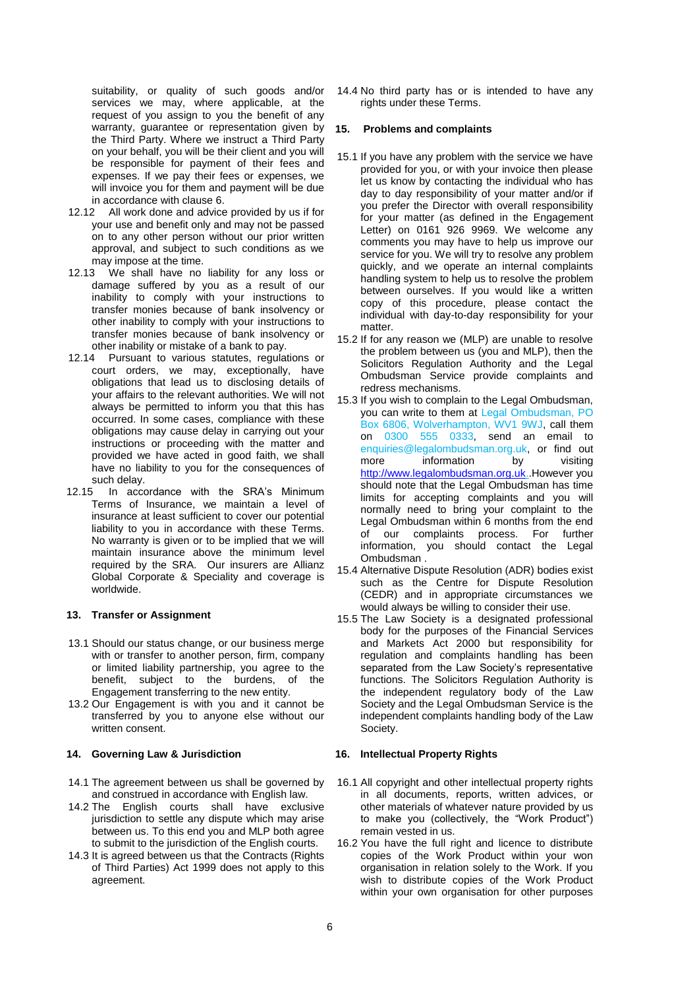suitability, or quality of such goods and/or services we may, where applicable, at the request of you assign to you the benefit of any warranty, guarantee or representation given by the Third Party. Where we instruct a Third Party on your behalf, you will be their client and you will be responsible for payment of their fees and expenses. If we pay their fees or expenses, we will invoice you for them and payment will be due in accordance with clause 6.

- 12.12 All work done and advice provided by us if for your use and benefit only and may not be passed on to any other person without our prior written approval, and subject to such conditions as we may impose at the time.
- 12.13 We shall have no liability for any loss or damage suffered by you as a result of our inability to comply with your instructions to transfer monies because of bank insolvency or other inability to comply with your instructions to transfer monies because of bank insolvency or other inability or mistake of a bank to pay.
- 12.14 Pursuant to various statutes, regulations or court orders, we may, exceptionally, have obligations that lead us to disclosing details of your affairs to the relevant authorities. We will not always be permitted to inform you that this has occurred. In some cases, compliance with these obligations may cause delay in carrying out your instructions or proceeding with the matter and provided we have acted in good faith, we shall have no liability to you for the consequences of such delay.
- 12.15 In accordance with the SRA's Minimum Terms of Insurance, we maintain a level of insurance at least sufficient to cover our potential liability to you in accordance with these Terms. No warranty is given or to be implied that we will maintain insurance above the minimum level required by the SRA. Our insurers are Allianz Global Corporate & Speciality and coverage is worldwide.

## <span id="page-6-0"></span>**13. Transfer or Assignment**

- 13.1 Should our status change, or our business merge with or transfer to another person, firm, company or limited liability partnership, you agree to the benefit, subject to the burdens, of the Engagement transferring to the new entity.
- 13.2 Our Engagement is with you and it cannot be transferred by you to anyone else without our written consent.

## <span id="page-6-1"></span>**14. Governing Law & Jurisdiction**

- 14.1 The agreement between us shall be governed by and construed in accordance with English law.
- 14.2 The English courts shall have exclusive jurisdiction to settle any dispute which may arise between us. To this end you and MLP both agree to submit to the jurisdiction of the English courts.
- 14.3 It is agreed between us that the Contracts (Rights of Third Parties) Act 1999 does not apply to this agreement.

14.4 No third party has or is intended to have any rights under these Terms.

#### <span id="page-6-2"></span>**15. Problems and complaints**

- 15.1 If you have any problem with the service we have provided for you, or with your invoice then please let us know by contacting the individual who has day to day responsibility of your matter and/or if you prefer the Director with overall responsibility for your matter (as defined in the Engagement Letter) on 0161 926 9969. We welcome any comments you may have to help us improve our service for you. We will try to resolve any problem quickly, and we operate an internal complaints handling system to help us to resolve the problem between ourselves. If you would like a written copy of this procedure, please contact the individual with day-to-day responsibility for your matter.
- 15.2 If for any reason we (MLP) are unable to resolve the problem between us (you and MLP), then the Solicitors Regulation Authority and the Legal Ombudsman Service provide complaints and redress mechanisms.
- 15.3 If you wish to complain to the Legal Ombudsman, you can write to them at Legal Ombudsman, PO Box 6806, Wolverhampton, WV1 9WJ, call them on 0300 555 0333, send an email to enquiries@legalombudsman.org.uk, or find out more information by visiting [http://www.legalombudsman.org.uk.](http://www.legalombudsman.org.uk/).However you should note that the Legal Ombudsman has time limits for accepting complaints and you will normally need to bring your complaint to the Legal Ombudsman within 6 months from the end of our complaints process. For further information, you should contact the Legal Ombudsman .
- 15.4 Alternative Dispute Resolution (ADR) bodies exist such as the Centre for Dispute Resolution (CEDR) and in appropriate circumstances we would always be willing to consider their use.
- 15.5 The Law Society is a designated professional body for the purposes of the Financial Services and Markets Act 2000 but responsibility for regulation and complaints handling has been separated from the Law Society's representative functions. The Solicitors Regulation Authority is the independent regulatory body of the Law Society and the Legal Ombudsman Service is the independent complaints handling body of the Law Society.

#### <span id="page-6-3"></span>**16. Intellectual Property Rights**

- 16.1 All copyright and other intellectual property rights in all documents, reports, written advices, or other materials of whatever nature provided by us to make you (collectively, the "Work Product") remain vested in us.
- 16.2 You have the full right and licence to distribute copies of the Work Product within your won organisation in relation solely to the Work. If you wish to distribute copies of the Work Product within your own organisation for other purposes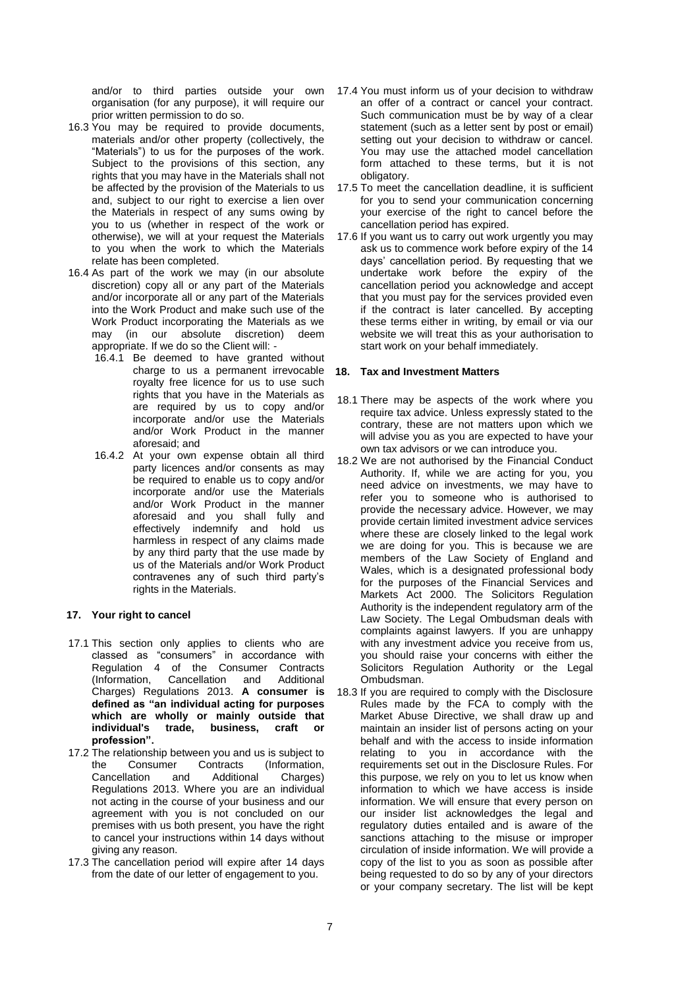and/or to third parties outside your own organisation (for any purpose), it will require our prior written permission to do so.

- 16.3 You may be required to provide documents, materials and/or other property (collectively, the "Materials") to us for the purposes of the work. Subject to the provisions of this section, any rights that you may have in the Materials shall not be affected by the provision of the Materials to us and, subject to our right to exercise a lien over the Materials in respect of any sums owing by you to us (whether in respect of the work or otherwise), we will at your request the Materials to you when the work to which the Materials relate has been completed.
- 16.4 As part of the work we may (in our absolute discretion) copy all or any part of the Materials and/or incorporate all or any part of the Materials into the Work Product and make such use of the Work Product incorporating the Materials as we may (in our absolute discretion) deem appropriate. If we do so the Client will: -
	- 16.4.1 Be deemed to have granted without charge to us a permanent irrevocable royalty free licence for us to use such rights that you have in the Materials as are required by us to copy and/or incorporate and/or use the Materials and/or Work Product in the manner aforesaid; and
	- 16.4.2 At your own expense obtain all third party licences and/or consents as may be required to enable us to copy and/or incorporate and/or use the Materials and/or Work Product in the manner aforesaid and you shall fully and effectively indemnify and hold us harmless in respect of any claims made by any third party that the use made by us of the Materials and/or Work Product contravenes any of such third party's rights in the Materials.

## <span id="page-7-0"></span>**17. Your right to cancel**

- 17.1 This section only applies to clients who are classed as "consumers" in accordance with Regulation 4 of the Consumer Contracts (Information, Cancellation and Additional Charges) Regulations 2013. **A consumer is defined as "an individual acting for purposes which are wholly or mainly outside that individual's trade, business, craft or profession".**
- 17.2 The relationship between you and us is subject to<br>the Consumer Contracts (Information, the Consumer Contracts (Information, Cancellation and Additional Charges) Regulations 2013. Where you are an individual not acting in the course of your business and our agreement with you is not concluded on our premises with us both present, you have the right to cancel your instructions within 14 days without giving any reason.
- 17.3 The cancellation period will expire after 14 days from the date of our letter of engagement to you.
- 17.4 You must inform us of your decision to withdraw an offer of a contract or cancel your contract. Such communication must be by way of a clear statement (such as a letter sent by post or email) setting out your decision to withdraw or cancel. You may use the attached model cancellation form attached to these terms, but it is not obligatory.
- 17.5 To meet the cancellation deadline, it is sufficient for you to send your communication concerning your exercise of the right to cancel before the cancellation period has expired.
- 17.6 If you want us to carry out work urgently you may ask us to commence work before expiry of the 14 days' cancellation period. By requesting that we undertake work before the expiry of the cancellation period you acknowledge and accept that you must pay for the services provided even if the contract is later cancelled. By accepting these terms either in writing, by email or via our website we will treat this as your authorisation to start work on your behalf immediately.

## <span id="page-7-1"></span>**18. Tax and Investment Matters**

- 18.1 There may be aspects of the work where you require tax advice. Unless expressly stated to the contrary, these are not matters upon which we will advise you as you are expected to have your own tax advisors or we can introduce you.
- 18.2 We are not authorised by the Financial Conduct Authority. If, while we are acting for you, you need advice on investments, we may have to refer you to someone who is authorised to provide the necessary advice. However, we may provide certain limited investment advice services where these are closely linked to the legal work we are doing for you. This is because we are members of the Law Society of England and Wales, which is a designated professional body for the purposes of the Financial Services and Markets Act 2000. The Solicitors Regulation Authority is the independent regulatory arm of the Law Society. The Legal Ombudsman deals with complaints against lawyers. If you are unhappy with any investment advice you receive from us, you should raise your concerns with either the Solicitors Regulation Authority or the Legal Ombudsman.
- 18.3 If you are required to comply with the Disclosure Rules made by the FCA to comply with the Market Abuse Directive, we shall draw up and maintain an insider list of persons acting on your behalf and with the access to inside information relating to you in accordance with the requirements set out in the Disclosure Rules. For this purpose, we rely on you to let us know when information to which we have access is inside information. We will ensure that every person on our insider list acknowledges the legal and regulatory duties entailed and is aware of the sanctions attaching to the misuse or improper circulation of inside information. We will provide a copy of the list to you as soon as possible after being requested to do so by any of your directors or your company secretary. The list will be kept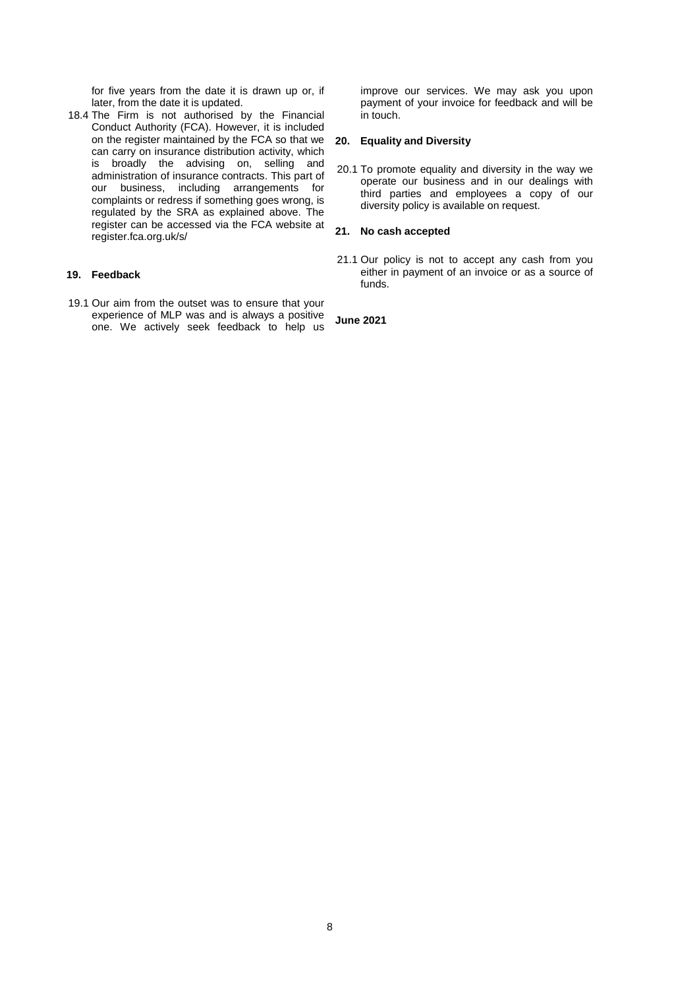for five years from the date it is drawn up or, if later, from the date it is updated.

18.4 The Firm is not authorised by the Financial Conduct Authority (FCA). However, it is included on the register maintained by the FCA so that we can carry on insurance distribution activity, which is broadly the advising on, selling and administration of insurance contracts. This part of our business, including arrangements for complaints or redress if something goes wrong, is regulated by the SRA as explained above. The register can be accessed via the FCA website at register.fca.org.uk/s/

#### <span id="page-8-0"></span>**19. Feedback**

19.1 Our aim from the outset was to ensure that your experience of MLP was and is always a positive one. We actively seek feedback to help us improve our services. We may ask you upon payment of your invoice for feedback and will be in touch.

#### <span id="page-8-1"></span>**20. Equality and Diversity**

20.1 To promote equality and diversity in the way we operate our business and in our dealings with third parties and employees a copy of our diversity policy is available on request.

## <span id="page-8-2"></span>**21. No cash accepted**

21.1 Our policy is not to accept any cash from you either in payment of an invoice or as a source of funds.

**June 2021**